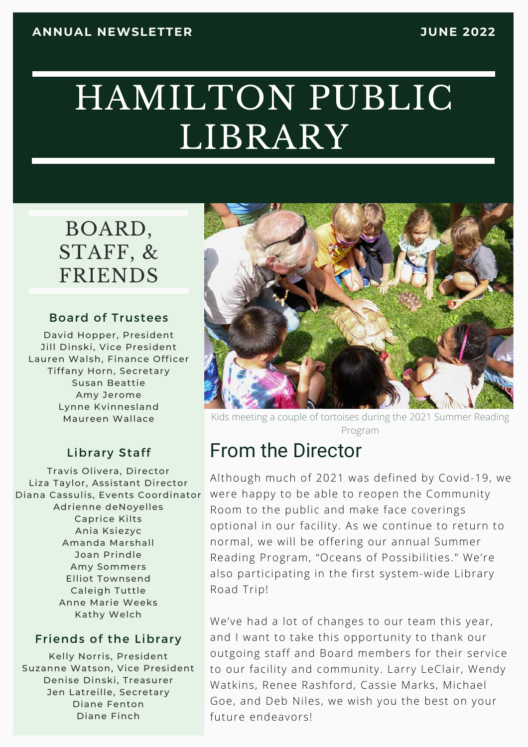# HAMILTON PUBLIC LIBRARY

## BOARD, STAFF, & FRIENDS

#### Board of Trustees

David Hopper, President Jill Dinski, Vice President Lauren Walsh, Finance Officer Tiffany Horn, Secretary Susan Beattie Amy Jerome Lynne Kvinnesland Maureen Wallace

### Library Staff

Travis Olivera, Director Liza Taylor, Assistant Director Diana Cassulis, Events Coordinator Adrienne deNoyelles Caprice Kilts Ania Ksiezyc Amanda Marshall Joan Prindle Amy Sommers Elliot Townsend Caleigh Tuttle Anne Marie Weeks Kathy Welch

#### Friends of the Library

Kelly Norris, President Suzanne Watson, Vice President Denise Dinski, Treasurer Jen Latreille, Secretary Diane Fenton Diane Finch



Kids meeting a couple of tortoises during the 2021 Summer Reading Program

## From the Director

Although much of 2021 was defined by Covid-19, we were happy to be able to reopen the Community Room to the public and make face coverings optional in our facility. As we continue to return to normal, we will be offering our annual Summer Reading Program, "Oceans of Possibilities." We're also participating in the first system-wide Library Road Trip!

We've had a lot of changes to our team this year, and I want to take this opportunity to thank our outgoing staff and Board members for their service to our facility and community. Larry LeClair, Wendy Watkins, Renee Rashford, Cassie Marks, Michael Goe, and Deb Niles, we wish you the best on your future endeavors!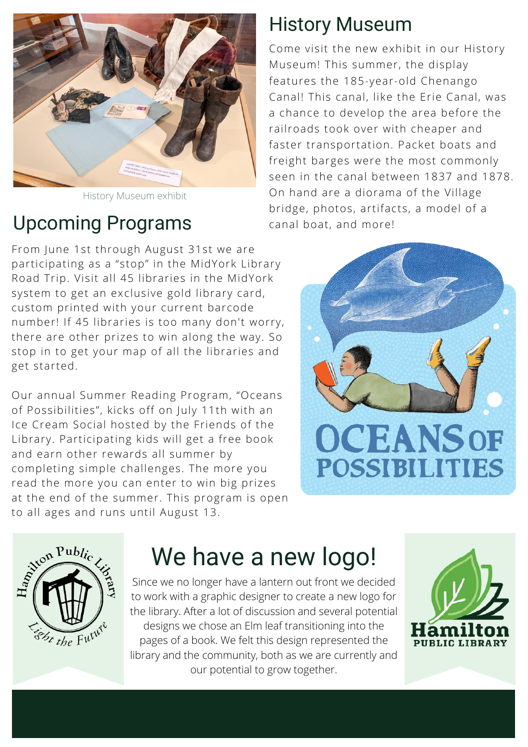

History Museum exhibit

## Upcoming Programs

## History Museum

Come visit the new exhibit in our History Museum! This summer, the display features the 185-year-old Chenango Canal! This canal, like the Erie Canal, was a chance to develop the area before the railroads took over with cheaper and faster transportation. Packet boats and freight barges were the most commonly seen in the canal between 1837 and 1878. On hand are a diorama of the Village bridge, photos, artifacts, a model of a canal boat, and more!

From June 1st through August 31st we are participating as a "stop" in the MidYork Library Road Trip. Visit all 45 libraries in the MidYork system to get an exclusive gold library card, custom printed with your current barcode number! If 45 libraries is too many don't worry, there are other prizes to win along the way. So stop in to get your map of all the libraries and get started.

Our annual Summer Reading Program, "Oceans of Possibilities", kicks off on July 11th with an Ice Cream Social hosted by the Friends of the Library. Participating kids will get a free book and earn other rewards all summer by completing simple challenges. The more you read the more you can enter to win big prizes at the end of the summer. This program is open to all ages and runs until August 13.





## We have a new logo!

Since we no longer have a lantern out front we decided to work with a graphic designer to create a new logo for the library. After a lot of discussion and several potential designs we chose an Elm leaf transitioning into the pages of a book. We felt this design represented the library and the community, both as we are currently and our potential to grow together.

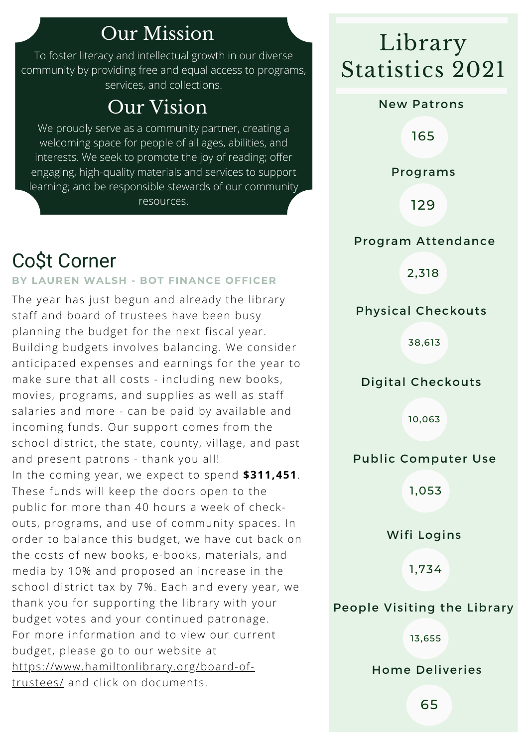## Our Mission

To foster literacy and intellectual growth in our diverse community by providing free and equal access to programs, services, and collections.

## Our Vision

We proudly serve as a community partner, creating a welcoming space for people of all ages, abilities, and interests. We seek to promote the joy of reading; offer engaging, high-quality materials and services to support learning; and be responsible stewards of our community

resources.

## Co\$t Corner

### **BY LAUREN WALSH - BOT FINANCE OFFICER**

The year has just begun and already the library staff and board of trustees have been busy planning the budget for the next fiscal year. Building budgets involves balancing. We consider anticipated expenses and earnings for the year to make sure that all costs - including new books, movies, programs, and supplies as well as staff salaries and more - can be paid by available and incoming funds. Our support comes from the school district, the state, county, village, and past and present patrons - thank you all! In the coming year, we expect to spend **\$311,451**. These funds will keep the doors open to the public for more than 40 hours a week of checkouts, programs, and use of community spaces. In order to balance this budget, we have cut back on the costs of new books, e-books, materials, and media by 10% and proposed an increase in the school district tax by 7%. Each and every year, we thank you for supporting the library with your budget votes and your continued patronage. For more information and to view our current budget, please go to our website at [https://www.hamiltonlibrary.org/board-of](https://www.hamiltonlibrary.org/board-of-trustees/)trustees/ and click on documents.

## Library Statistics 2021

#### New Patrons

165

Programs

129

### Program Attendance

2,318

### Physical Checkouts

38,613

### Digital Checkouts

10,063

### Public Computer Use

1,053

Wifi Logins

1,734

### People Visiting the Library

13,655

Home Deliveries

65